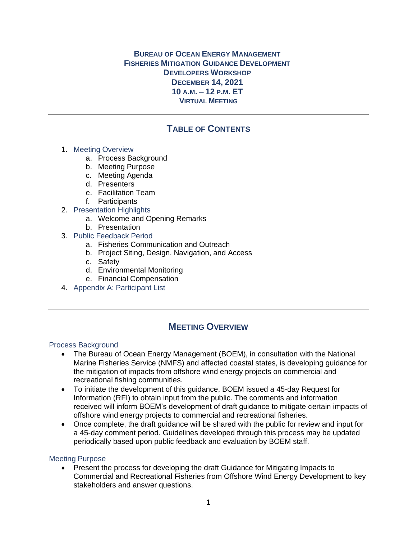## **BUREAU OF OCEAN ENERGY MANAGEMENT FISHERIES MITIGATION GUIDANCE DEVELOPMENT DEVELOPERS WORKSHOP DECEMBER 14, 2021 10 A.M. – 12 P.M. ET VIRTUAL MEETING**

# **TABLE OF CONTENTS**

## 1. Meeting Overview

- a. Process Background
- b. Meeting Purpose
- c. Meeting Agenda
- d. Presenters
- e. Facilitation Team
- f. Participants
- 2. Presentation Highlights
	- a. Welcome and Opening Remarks
	- b. Presentation
- 3. Public Feedback Period
	- a. Fisheries Communication and Outreach
	- b. Project Siting, Design, Navigation, and Access
	- c. Safety
	- d. Environmental Monitoring
	- e. Financial Compensation
- 4. Appendix A: Participant List

## **MEETING OVERVIEW**

## Process Background

- The Bureau of Ocean Energy Management (BOEM), in consultation with the National Marine Fisheries Service (NMFS) and affected coastal states, is developing guidance for the mitigation of impacts from offshore wind energy projects on commercial and recreational fishing communities.
- To initiate the development of this guidance, BOEM issued a 45-day Request for Information (RFI) to obtain input from the public. The comments and information received will inform BOEM's development of draft guidance to mitigate certain impacts of offshore wind energy projects to commercial and recreational fisheries.
- Once complete, the draft guidance will be shared with the public for review and input for a 45-day comment period. Guidelines developed through this process may be updated periodically based upon public feedback and evaluation by BOEM staff.

## Meeting Purpose

• Present the process for developing the draft Guidance for Mitigating Impacts to Commercial and Recreational Fisheries from Offshore Wind Energy Development to key stakeholders and answer questions.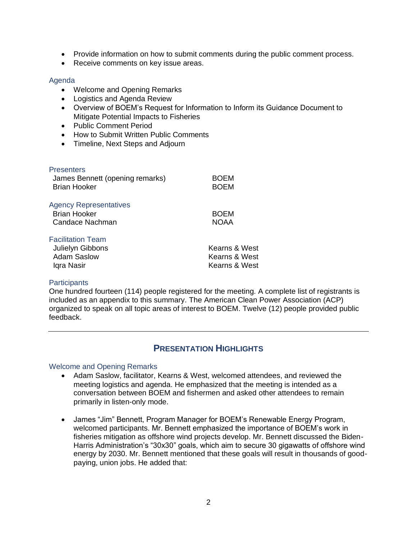- Provide information on how to submit comments during the public comment process.
- Receive comments on key issue areas.

#### Agenda

- Welcome and Opening Remarks
- Logistics and Agenda Review
- Overview of BOEM's Request for Information to Inform its Guidance Document to Mitigate Potential Impacts to Fisheries
- Public Comment Period
- How to Submit Written Public Comments
- Timeline, Next Steps and Adjourn

#### **Presenters**

| James Bennett (opening remarks)<br><b>Brian Hooker</b>                  | <b>BOEM</b><br><b>BOEM</b> |
|-------------------------------------------------------------------------|----------------------------|
| <b>Agency Representatives</b><br><b>Brian Hooker</b><br>Candace Nachman | <b>BOEM</b><br><b>NOAA</b> |
| <b>Facilitation Team</b>                                                |                            |
| Julielyn Gibbons                                                        | Kearns & West              |
| <b>Adam Saslow</b>                                                      | Kearns & West              |
| Igra Nasir                                                              | Kearns & West              |

#### **Participants**

One hundred fourteen (114) people registered for the meeting. A complete list of registrants is included as an appendix to this summary. The American Clean Power Association (ACP) organized to speak on all topic areas of interest to BOEM. Twelve (12) people provided public feedback.

## **PRESENTATION HIGHLIGHTS**

#### Welcome and Opening Remarks

- Adam Saslow, facilitator, Kearns & West, welcomed attendees, and reviewed the meeting logistics and agenda. He emphasized that the meeting is intended as a conversation between BOEM and fishermen and asked other attendees to remain primarily in listen-only mode.
- James "Jim" Bennett, Program Manager for BOEM's Renewable Energy Program, welcomed participants. Mr. Bennett emphasized the importance of BOEM's work in fisheries mitigation as offshore wind projects develop. Mr. Bennett discussed the Biden-Harris Administration's "30x30" goals, which aim to secure 30 gigawatts of offshore wind energy by 2030. Mr. Bennett mentioned that these goals will result in thousands of goodpaying, union jobs. He added that: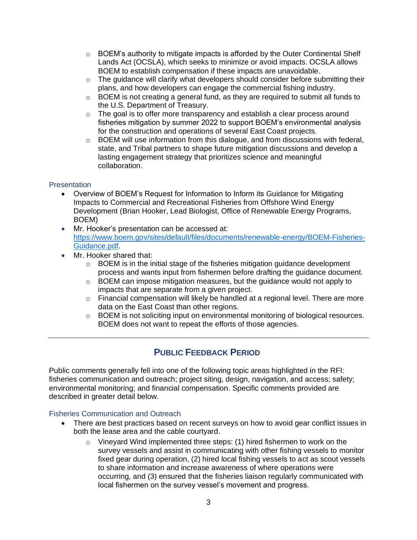- $\circ$  BOEM's authority to mitigate impacts is afforded by the Outer Continental Shelf Lands Act (OCSLA), which seeks to minimize or avoid impacts. OCSLA allows BOEM to establish compensation if these impacts are unavoidable.
- $\circ$  The quidance will clarify what developers should consider before submitting their plans, and how developers can engage the commercial fishing industry.
- $\circ$  BOEM is not creating a general fund, as they are required to submit all funds to the U.S. Department of Treasury.
- $\circ$  The goal is to offer more transparency and establish a clear process around fisheries mitigation by summer 2022 to support BOEM's environmental analysis for the construction and operations of several East Coast projects.
- $\circ$  BOEM will use information from this dialogue, and from discussions with federal, state, and Tribal partners to shape future mitigation discussions and develop a lasting engagement strategy that prioritizes science and meaningful collaboration.

## **Presentation**

- Overview of BOEM's Request for Information to Inform its Guidance for Mitigating Impacts to Commercial and Recreational Fisheries from Offshore Wind Energy Development (Brian Hooker, Lead Biologist, Office of Renewable Energy Programs, BOEM)
- Mr. Hooker's presentation can be accessed at: [https://www.boem.gov/sites/default/files/documents/renewable-energy/BOEM-Fisheries-](https://www.boem.gov/sites/default/files/documents/renewable-energy/BOEM-Fisheries-Guidance.pdf)[Guidance.pdf.](https://www.boem.gov/sites/default/files/documents/renewable-energy/BOEM-Fisheries-Guidance.pdf)
- Mr. Hooker shared that:
	- $\circ$  BOEM is in the initial stage of the fisheries mitigation guidance development process and wants input from fishermen before drafting the guidance document.
	- o BOEM can impose mitigation measures, but the guidance would not apply to impacts that are separate from a given project.
	- o Financial compensation will likely be handled at a regional level. There are more data on the East Coast than other regions.
	- $\circ$  BOEM is not soliciting input on environmental monitoring of biological resources. BOEM does not want to repeat the efforts of those agencies.

## **PUBLIC FEEDBACK PERIOD**

Public comments generally fell into one of the following topic areas highlighted in the RFI: fisheries communication and outreach; project siting, design, navigation, and access; safety; environmental monitoring; and financial compensation. Specific comments provided are described in greater detail below.

## Fisheries Communication and Outreach

- There are best practices based on recent surveys on how to avoid gear conflict issues in both the lease area and the cable courtyard.
	- o Vineyard Wind implemented three steps: (1) hired fishermen to work on the survey vessels and assist in communicating with other fishing vessels to monitor fixed gear during operation, (2) hired local fishing vessels to act as scout vessels to share information and increase awareness of where operations were occurring, and (3) ensured that the fisheries liaison regularly communicated with local fishermen on the survey vessel's movement and progress.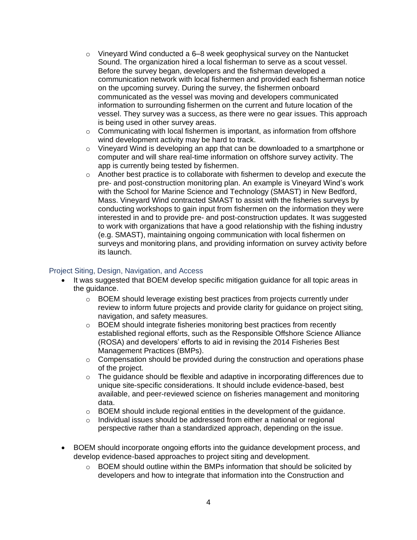- $\circ$  Vineyard Wind conducted a 6–8 week geophysical survey on the Nantucket Sound. The organization hired a local fisherman to serve as a scout vessel. Before the survey began, developers and the fisherman developed a communication network with local fishermen and provided each fisherman notice on the upcoming survey. During the survey, the fishermen onboard communicated as the vessel was moving and developers communicated information to surrounding fishermen on the current and future location of the vessel. They survey was a success, as there were no gear issues. This approach is being used in other survey areas.
- o Communicating with local fishermen is important, as information from offshore wind development activity may be hard to track.
- o Vineyard Wind is developing an app that can be downloaded to a smartphone or computer and will share real-time information on offshore survey activity. The app is currently being tested by fishermen.
- $\circ$  Another best practice is to collaborate with fishermen to develop and execute the pre- and post-construction monitoring plan. An example is Vineyard Wind's work with the School for Marine Science and Technology (SMAST) in New Bedford, Mass. Vineyard Wind contracted SMAST to assist with the fisheries surveys by conducting workshops to gain input from fishermen on the information they were interested in and to provide pre- and post-construction updates. It was suggested to work with organizations that have a good relationship with the fishing industry (e.g. SMAST), maintaining ongoing communication with local fishermen on surveys and monitoring plans, and providing information on survey activity before its launch.

#### Project Siting, Design, Navigation, and Access

- It was suggested that BOEM develop specific mitigation guidance for all topic areas in the guidance.
	- o BOEM should leverage existing best practices from projects currently under review to inform future projects and provide clarity for guidance on project siting, navigation, and safety measures.
	- o BOEM should integrate fisheries monitoring best practices from recently established regional efforts, such as the Responsible Offshore Science Alliance (ROSA) and developers' efforts to aid in revising the 2014 Fisheries Best Management Practices (BMPs).
	- $\circ$  Compensation should be provided during the construction and operations phase of the project.
	- $\circ$  The guidance should be flexible and adaptive in incorporating differences due to unique site-specific considerations. It should include evidence-based, best available, and peer-reviewed science on fisheries management and monitoring data.
	- $\circ$  BOEM should include regional entities in the development of the guidance.
	- o Individual issues should be addressed from either a national or regional perspective rather than a standardized approach, depending on the issue.
- BOEM should incorporate ongoing efforts into the guidance development process, and develop evidence-based approaches to project siting and development.
	- $\circ$  BOEM should outline within the BMPs information that should be solicited by developers and how to integrate that information into the Construction and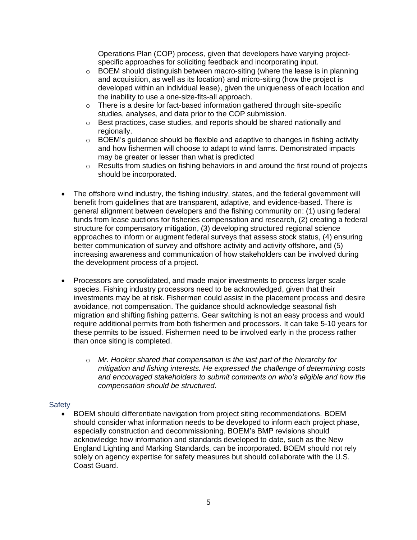Operations Plan (COP) process, given that developers have varying projectspecific approaches for soliciting feedback and incorporating input.

- $\circ$  BOEM should distinguish between macro-siting (where the lease is in planning and acquisition, as well as its location) and micro-siting (how the project is developed within an individual lease), given the uniqueness of each location and the inability to use a one-size-fits-all approach.
- o There is a desire for fact-based information gathered through site-specific studies, analyses, and data prior to the COP submission.
- $\circ$  Best practices, case studies, and reports should be shared nationally and regionally.
- $\circ$  BOEM's guidance should be flexible and adaptive to changes in fishing activity and how fishermen will choose to adapt to wind farms. Demonstrated impacts may be greater or lesser than what is predicted
- o Results from studies on fishing behaviors in and around the first round of projects should be incorporated.
- The offshore wind industry, the fishing industry, states, and the federal government will benefit from guidelines that are transparent, adaptive, and evidence-based. There is general alignment between developers and the fishing community on: (1) using federal funds from lease auctions for fisheries compensation and research, (2) creating a federal structure for compensatory mitigation, (3) developing structured regional science approaches to inform or augment federal surveys that assess stock status, (4) ensuring better communication of survey and offshore activity and activity offshore, and (5) increasing awareness and communication of how stakeholders can be involved during the development process of a project.
- Processors are consolidated, and made major investments to process larger scale species. Fishing industry processors need to be acknowledged, given that their investments may be at risk. Fishermen could assist in the placement process and desire avoidance, not compensation. The guidance should acknowledge seasonal fish migration and shifting fishing patterns. Gear switching is not an easy process and would require additional permits from both fishermen and processors. It can take 5-10 years for these permits to be issued. Fishermen need to be involved early in the process rather than once siting is completed.
	- o *Mr. Hooker shared that compensation is the last part of the hierarchy for mitigation and fishing interests. He expressed the challenge of determining costs and encouraged stakeholders to submit comments on who's eligible and how the compensation should be structured.*

## **Safety**

• BOEM should differentiate navigation from project siting recommendations. BOEM should consider what information needs to be developed to inform each project phase, especially construction and decommissioning. BOEM's BMP revisions should acknowledge how information and standards developed to date, such as the New England Lighting and Marking Standards, can be incorporated. BOEM should not rely solely on agency expertise for safety measures but should collaborate with the U.S. Coast Guard.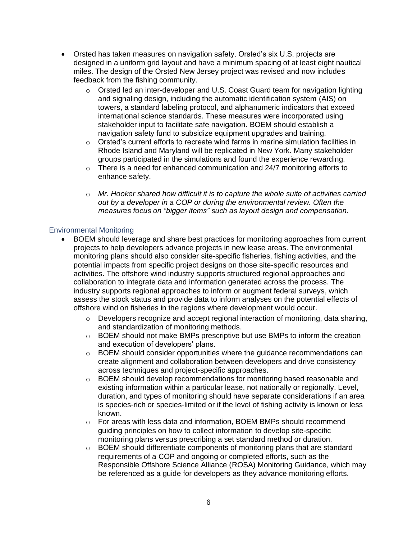- Orsted has taken measures on navigation safety. Orsted's six U.S. projects are designed in a uniform grid layout and have a minimum spacing of at least eight nautical miles. The design of the Orsted New Jersey project was revised and now includes feedback from the fishing community.
	- o Orsted led an inter-developer and U.S. Coast Guard team for navigation lighting and signaling design, including the automatic identification system (AIS) on towers, a standard labeling protocol, and alphanumeric indicators that exceed international science standards. These measures were incorporated using stakeholder input to facilitate safe navigation. BOEM should establish a navigation safety fund to subsidize equipment upgrades and training.
	- $\circ$  Orsted's current efforts to recreate wind farms in marine simulation facilities in Rhode Island and Maryland will be replicated in New York. Many stakeholder groups participated in the simulations and found the experience rewarding.
	- $\circ$  There is a need for enhanced communication and 24/7 monitoring efforts to enhance safety.
	- o *Mr. Hooker shared how difficult it is to capture the whole suite of activities carried out by a developer in a COP or during the environmental review. Often the measures focus on "bigger items" such as layout design and compensation.*

#### Environmental Monitoring

- BOEM should leverage and share best practices for monitoring approaches from current projects to help developers advance projects in new lease areas. The environmental monitoring plans should also consider site-specific fisheries, fishing activities, and the potential impacts from specific project designs on those site-specific resources and activities. The offshore wind industry supports structured regional approaches and collaboration to integrate data and information generated across the process. The industry supports regional approaches to inform or augment federal surveys, which assess the stock status and provide data to inform analyses on the potential effects of offshore wind on fisheries in the regions where development would occur.
	- $\circ$  Developers recognize and accept regional interaction of monitoring, data sharing, and standardization of monitoring methods.
	- $\circ$  BOEM should not make BMPs prescriptive but use BMPs to inform the creation and execution of developers' plans.
	- $\circ$  BOEM should consider opportunities where the quidance recommendations can create alignment and collaboration between developers and drive consistency across techniques and project-specific approaches.
	- o BOEM should develop recommendations for monitoring based reasonable and existing information within a particular lease, not nationally or regionally. Level, duration, and types of monitoring should have separate considerations if an area is species-rich or species-limited or if the level of fishing activity is known or less known.
	- $\circ$  For areas with less data and information, BOEM BMPs should recommend guiding principles on how to collect information to develop site-specific monitoring plans versus prescribing a set standard method or duration.
	- $\circ$  BOEM should differentiate components of monitoring plans that are standard requirements of a COP and ongoing or completed efforts, such as the Responsible Offshore Science Alliance (ROSA) Monitoring Guidance, which may be referenced as a guide for developers as they advance monitoring efforts.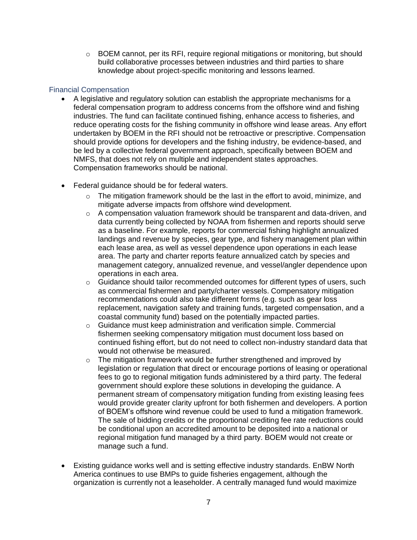$\circ$  BOEM cannot, per its RFI, require regional mitigations or monitoring, but should build collaborative processes between industries and third parties to share knowledge about project-specific monitoring and lessons learned.

### Financial Compensation

- A legislative and regulatory solution can establish the appropriate mechanisms for a federal compensation program to address concerns from the offshore wind and fishing industries. The fund can facilitate continued fishing, enhance access to fisheries, and reduce operating costs for the fishing community in offshore wind lease areas. Any effort undertaken by BOEM in the RFI should not be retroactive or prescriptive. Compensation should provide options for developers and the fishing industry, be evidence-based, and be led by a collective federal government approach, specifically between BOEM and NMFS, that does not rely on multiple and independent states approaches. Compensation frameworks should be national.
- Federal guidance should be for federal waters.
	- $\circ$  The mitigation framework should be the last in the effort to avoid, minimize, and mitigate adverse impacts from offshore wind development.
	- $\circ$  A compensation valuation framework should be transparent and data-driven, and data currently being collected by NOAA from fishermen and reports should serve as a baseline. For example, reports for commercial fishing highlight annualized landings and revenue by species, gear type, and fishery management plan within each lease area, as well as vessel dependence upon operations in each lease area. The party and charter reports feature annualized catch by species and management category, annualized revenue, and vessel/angler dependence upon operations in each area.
	- $\circ$  Guidance should tailor recommended outcomes for different types of users, such as commercial fishermen and party/charter vessels. Compensatory mitigation recommendations could also take different forms (e.g. such as gear loss replacement, navigation safety and training funds, targeted compensation, and a coastal community fund) based on the potentially impacted parties.
	- o Guidance must keep administration and verification simple. Commercial fishermen seeking compensatory mitigation must document loss based on continued fishing effort, but do not need to collect non-industry standard data that would not otherwise be measured.
	- o The mitigation framework would be further strengthened and improved by legislation or regulation that direct or encourage portions of leasing or operational fees to go to regional mitigation funds administered by a third party. The federal government should explore these solutions in developing the guidance. A permanent stream of compensatory mitigation funding from existing leasing fees would provide greater clarity upfront for both fishermen and developers. A portion of BOEM's offshore wind revenue could be used to fund a mitigation framework. The sale of bidding credits or the proportional crediting fee rate reductions could be conditional upon an accredited amount to be deposited into a national or regional mitigation fund managed by a third party. BOEM would not create or manage such a fund.
- Existing guidance works well and is setting effective industry standards. EnBW North America continues to use BMPs to guide fisheries engagement, although the organization is currently not a leaseholder. A centrally managed fund would maximize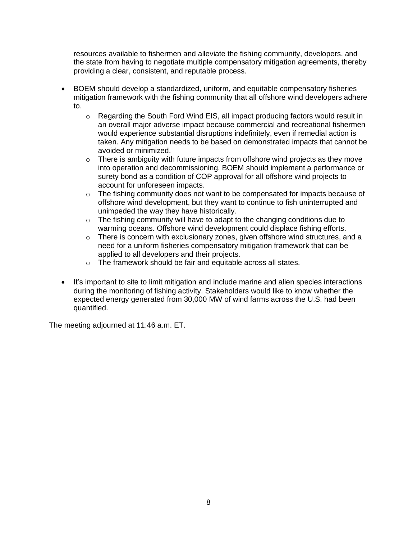resources available to fishermen and alleviate the fishing community, developers, and the state from having to negotiate multiple compensatory mitigation agreements, thereby providing a clear, consistent, and reputable process.

- BOEM should develop a standardized, uniform, and equitable compensatory fisheries mitigation framework with the fishing community that all offshore wind developers adhere to.
	- o Regarding the South Ford Wind EIS, all impact producing factors would result in an overall major adverse impact because commercial and recreational fishermen would experience substantial disruptions indefinitely, even if remedial action is taken. Any mitigation needs to be based on demonstrated impacts that cannot be avoided or minimized.
	- $\circ$  There is ambiguity with future impacts from offshore wind projects as they move into operation and decommissioning. BOEM should implement a performance or surety bond as a condition of COP approval for all offshore wind projects to account for unforeseen impacts.
	- $\circ$  The fishing community does not want to be compensated for impacts because of offshore wind development, but they want to continue to fish uninterrupted and unimpeded the way they have historically.
	- $\circ$  The fishing community will have to adapt to the changing conditions due to warming oceans. Offshore wind development could displace fishing efforts.
	- o There is concern with exclusionary zones, given offshore wind structures, and a need for a uniform fisheries compensatory mitigation framework that can be applied to all developers and their projects.
	- o The framework should be fair and equitable across all states.
- It's important to site to limit mitigation and include marine and alien species interactions during the monitoring of fishing activity. Stakeholders would like to know whether the expected energy generated from 30,000 MW of wind farms across the U.S. had been quantified.

The meeting adjourned at 11:46 a.m. ET.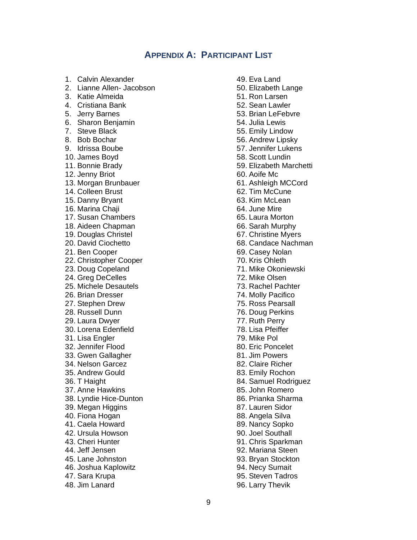## **APPENDIX A: PARTICIPANT LIST**

1. Calvin Alexander 2. Lianne Allen- Jacobson 3. Katie Almeida 4. Cristiana Bank 5. Jerry Barnes 6. Sharon Benjamin 7. Steve Black 8. Bob Bochar 9. Idrissa Boube 10. James Boyd 11. Bonnie Brady 12. Jenny Briot 13. Morgan Brunbauer 14. Colleen Brust 15. Danny Bryant 16. Marina Chaji 17. Susan Chambers 18. Aideen Chapman 19. Douglas Christel 20. David Ciochetto 21. Ben Cooper 22. Christopher Cooper 23. Doug Copeland 24. Greg DeCelles 25. Michele Desautels 26. Brian Dresser 27. Stephen Drew 28. Russell Dunn 29. Laura Dwyer 30. Lorena Edenfield 31. Lisa Engler 32. Jennifer Flood 33. Gwen Gallagher 34. Nelson Garcez 35. Andrew Gould 36. T Haight 37. Anne Hawkins 38. Lyndie Hice-Dunton 39. Megan Higgins 40. Fiona Hogan 41. Caela Howard 42. Ursula Howson 43. Cheri Hunter 44. Jeff Jensen 45. Lane Johnston 46. Joshua Kaplowitz 47. Sara Krupa 48. Jim Lanard

49. Eva Land 50. Elizabeth Lange 51. Ron Larsen 52. Sean Lawler 53. Brian LeFebvre 54. Julia Lewis 55. Emily Lindow 56. Andrew Lipsky 57. Jennifer Lukens 58. Scott Lundin 59. Elizabeth Marchetti 60. Aoife Mc 61. Ashleigh MCCord 62. Tim McCune 63. Kim McLean 64. June Mire 65. Laura Morton 66. Sarah Murphy 67. Christine Myers 68. Candace Nachman 69. Casey Nolan 70. Kris Ohleth 71. Mike Okoniewski 72. Mike Olsen 73. Rachel Pachter 74. Molly Pacifico 75. Ross Pearsall 76. Doug Perkins 77. Ruth Perry 78. Lisa Pfeiffer 79. Mike Pol 80. Eric Poncelet 81. Jim Powers 82. Claire Richer 83. Emily Rochon 84. Samuel Rodriguez 85. John Romero 86. Prianka Sharma 87. Lauren Sidor 88. Angela Silva 89. Nancy Sopko 90. Joel Southall 91. Chris Sparkman 92. Mariana Steen 93. Bryan Stockton 94. Necy Sumait 95. Steven Tadros 96. Larry Thevik